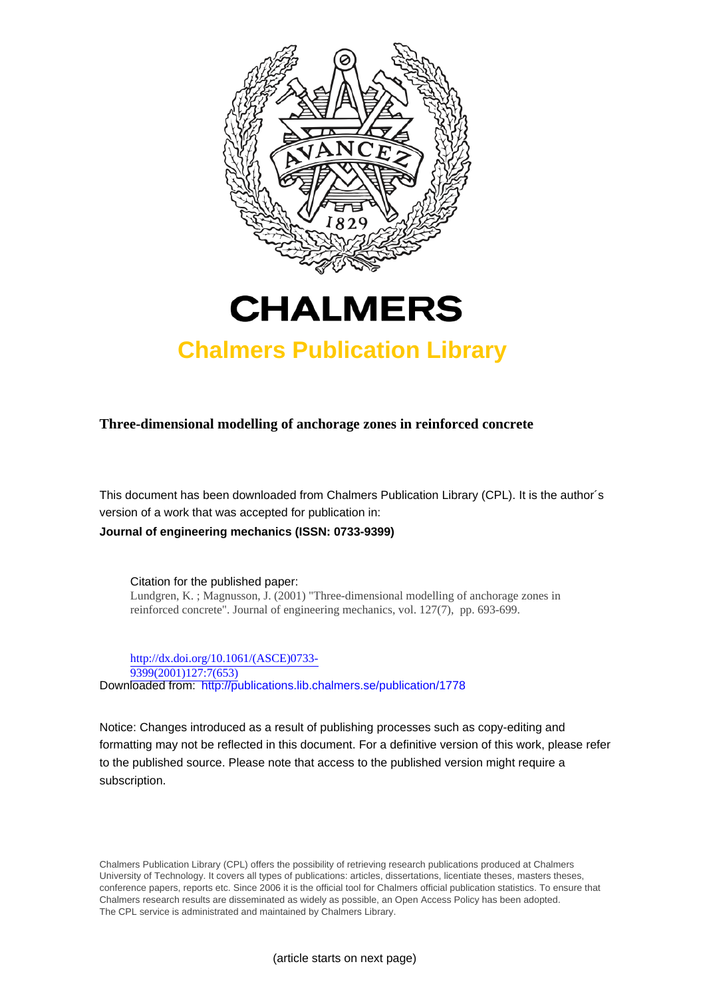



# **Chalmers Publication Library**

**Three-dimensional modelling of anchorage zones in reinforced concrete**

This document has been downloaded from Chalmers Publication Library (CPL). It is the author´s version of a work that was accepted for publication in: **Journal of engineering mechanics (ISSN: 0733-9399)**

Citation for the published paper: Lundgren, K. ; Magnusson, J. (2001) "Three-dimensional modelling of anchorage zones in reinforced concrete". Journal of engineering mechanics, vol. 127(7), pp. 693-699.

[http://dx.doi.org/10.1061/\(ASCE\)0733-](http://dx.doi.org/10.1061/(ASCE)0733-9399(2001)127:7(653)) [9399\(2001\)127:7\(653\)](http://dx.doi.org/10.1061/(ASCE)0733-9399(2001)127:7(653)) Downloaded from: <http://publications.lib.chalmers.se/publication/1778>

Notice: Changes introduced as a result of publishing processes such as copy-editing and formatting may not be reflected in this document. For a definitive version of this work, please refer to the published source. Please note that access to the published version might require a subscription.

Chalmers Publication Library (CPL) offers the possibility of retrieving research publications produced at Chalmers University of Technology. It covers all types of publications: articles, dissertations, licentiate theses, masters theses, conference papers, reports etc. Since 2006 it is the official tool for Chalmers official publication statistics. To ensure that Chalmers research results are disseminated as widely as possible, an Open Access Policy has been adopted. The CPL service is administrated and maintained by Chalmers Library.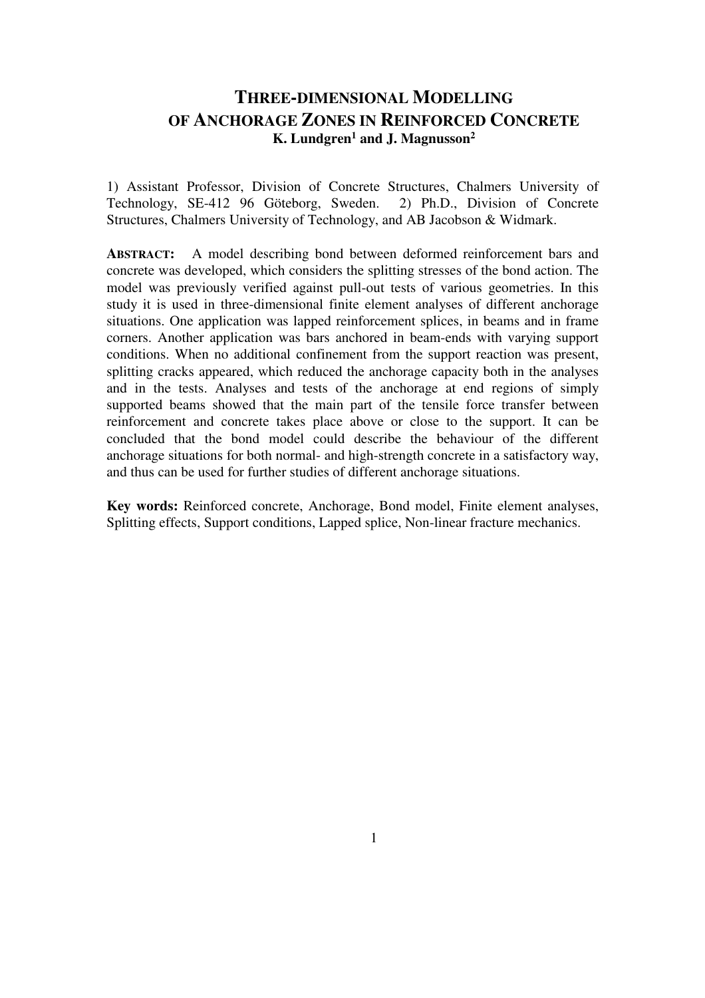# **THREE-DIMENSIONAL MODELLING OF ANCHORAGE ZONES IN REINFORCED CONCRETE K. Lundgren<sup>1</sup> and J. Magnusson<sup>2</sup>**

1) Assistant Professor, Division of Concrete Structures, Chalmers University of Technology, SE-412 96 Göteborg, Sweden. 2) Ph.D., Division of Concrete Structures, Chalmers University of Technology, and AB Jacobson & Widmark.

**ABSTRACT:** A model describing bond between deformed reinforcement bars and concrete was developed, which considers the splitting stresses of the bond action. The model was previously verified against pull-out tests of various geometries. In this study it is used in three-dimensional finite element analyses of different anchorage situations. One application was lapped reinforcement splices, in beams and in frame corners. Another application was bars anchored in beam-ends with varying support conditions. When no additional confinement from the support reaction was present, splitting cracks appeared, which reduced the anchorage capacity both in the analyses and in the tests. Analyses and tests of the anchorage at end regions of simply supported beams showed that the main part of the tensile force transfer between reinforcement and concrete takes place above or close to the support. It can be concluded that the bond model could describe the behaviour of the different anchorage situations for both normal- and high-strength concrete in a satisfactory way, and thus can be used for further studies of different anchorage situations.

**Key words:** Reinforced concrete, Anchorage, Bond model, Finite element analyses, Splitting effects, Support conditions, Lapped splice, Non-linear fracture mechanics.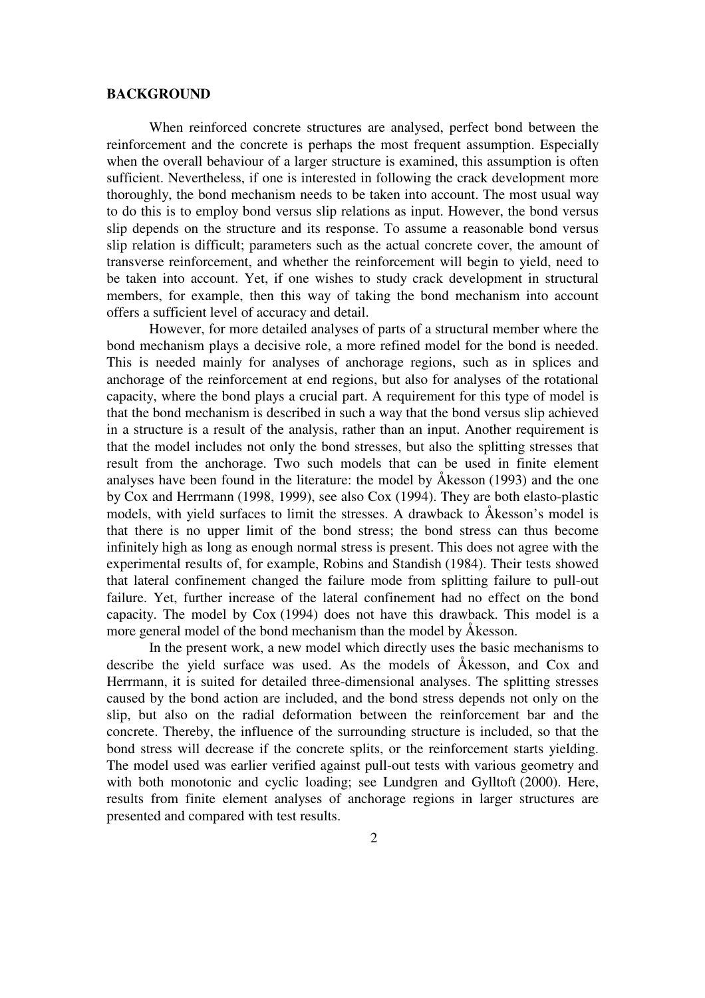#### **BACKGROUND**

When reinforced concrete structures are analysed, perfect bond between the reinforcement and the concrete is perhaps the most frequent assumption. Especially when the overall behaviour of a larger structure is examined, this assumption is often sufficient. Nevertheless, if one is interested in following the crack development more thoroughly, the bond mechanism needs to be taken into account. The most usual way to do this is to employ bond versus slip relations as input. However, the bond versus slip depends on the structure and its response. To assume a reasonable bond versus slip relation is difficult; parameters such as the actual concrete cover, the amount of transverse reinforcement, and whether the reinforcement will begin to yield, need to be taken into account. Yet, if one wishes to study crack development in structural members, for example, then this way of taking the bond mechanism into account offers a sufficient level of accuracy and detail.

However, for more detailed analyses of parts of a structural member where the bond mechanism plays a decisive role, a more refined model for the bond is needed. This is needed mainly for analyses of anchorage regions, such as in splices and anchorage of the reinforcement at end regions, but also for analyses of the rotational capacity, where the bond plays a crucial part. A requirement for this type of model is that the bond mechanism is described in such a way that the bond versus slip achieved in a structure is a result of the analysis, rather than an input. Another requirement is that the model includes not only the bond stresses, but also the splitting stresses that result from the anchorage. Two such models that can be used in finite element analyses have been found in the literature: the model by Åkesson (1993) and the one by Cox and Herrmann (1998, 1999), see also Cox (1994). They are both elasto-plastic models, with yield surfaces to limit the stresses. A drawback to Åkesson's model is that there is no upper limit of the bond stress; the bond stress can thus become infinitely high as long as enough normal stress is present. This does not agree with the experimental results of, for example, Robins and Standish (1984). Their tests showed that lateral confinement changed the failure mode from splitting failure to pull-out failure. Yet, further increase of the lateral confinement had no effect on the bond capacity. The model by Cox (1994) does not have this drawback. This model is a more general model of the bond mechanism than the model by Åkesson.

In the present work, a new model which directly uses the basic mechanisms to describe the yield surface was used. As the models of Åkesson, and Cox and Herrmann, it is suited for detailed three-dimensional analyses. The splitting stresses caused by the bond action are included, and the bond stress depends not only on the slip, but also on the radial deformation between the reinforcement bar and the concrete. Thereby, the influence of the surrounding structure is included, so that the bond stress will decrease if the concrete splits, or the reinforcement starts yielding. The model used was earlier verified against pull-out tests with various geometry and with both monotonic and cyclic loading; see Lundgren and Gylltoft (2000). Here, results from finite element analyses of anchorage regions in larger structures are presented and compared with test results.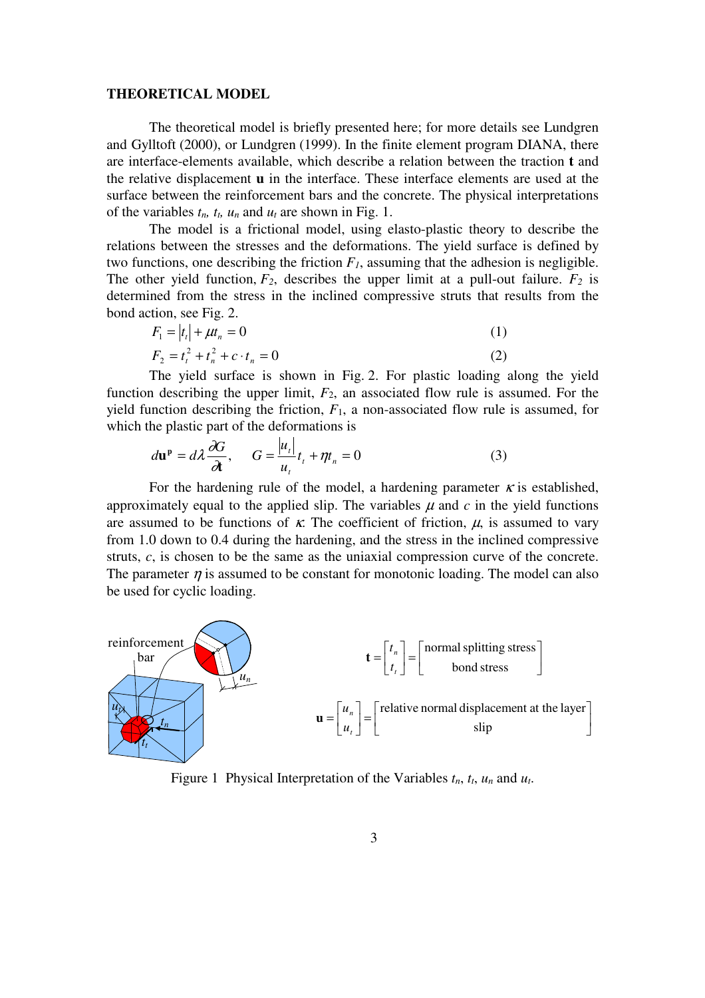#### **THEORETICAL MODEL**

The theoretical model is briefly presented here; for more details see Lundgren and Gylltoft (2000), or Lundgren (1999). In the finite element program DIANA, there are interface-elements available, which describe a relation between the traction **t** and the relative displacement **u** in the interface. These interface elements are used at the surface between the reinforcement bars and the concrete. The physical interpretations of the variables  $t_n$ ,  $t_t$ ,  $u_n$  and  $u_t$  are shown in Fig. 1.

The model is a frictional model, using elasto-plastic theory to describe the relations between the stresses and the deformations. The yield surface is defined by two functions, one describing the friction  $F_I$ , assuming that the adhesion is negligible. The other yield function,  $F_2$ , describes the upper limit at a pull-out failure.  $F_2$  is determined from the stress in the inclined compressive struts that results from the bond action, see Fig. 2.

$$
F_1 = |t_t| + \mu t_n = 0
$$
\n
$$
F_2 = t_t^2 + t_n^2 + c \cdot t_n = 0
$$
\n(1)

The yield surface is shown in Fig. 2. For plastic loading along the yield function describing the upper limit,  $F_2$ , an associated flow rule is assumed. For the yield function describing the friction,  $F_1$ , a non-associated flow rule is assumed, for which the plastic part of the deformations is

$$
d\mathbf{u}^{\mathbf{p}} = d\lambda \frac{\partial G}{\partial t}, \qquad G = \frac{|u_t|}{u_t} t_t + \eta t_n = 0 \tag{3}
$$

For the hardening rule of the model, a hardening parameter  $\kappa$  is established, approximately equal to the applied slip. The variables  $\mu$  and  $c$  in the yield functions are assumed to be functions of  $\kappa$ . The coefficient of friction,  $\mu$ , is assumed to vary from 1.0 down to 0.4 during the hardening, and the stress in the inclined compressive struts, *c*, is chosen to be the same as the uniaxial compression curve of the concrete. The parameter  $\eta$  is assumed to be constant for monotonic loading. The model can also be used for cyclic loading.



Figure 1 Physical Interpretation of the Variables  $t_n$ ,  $t_t$ ,  $u_n$  and  $u_t$ .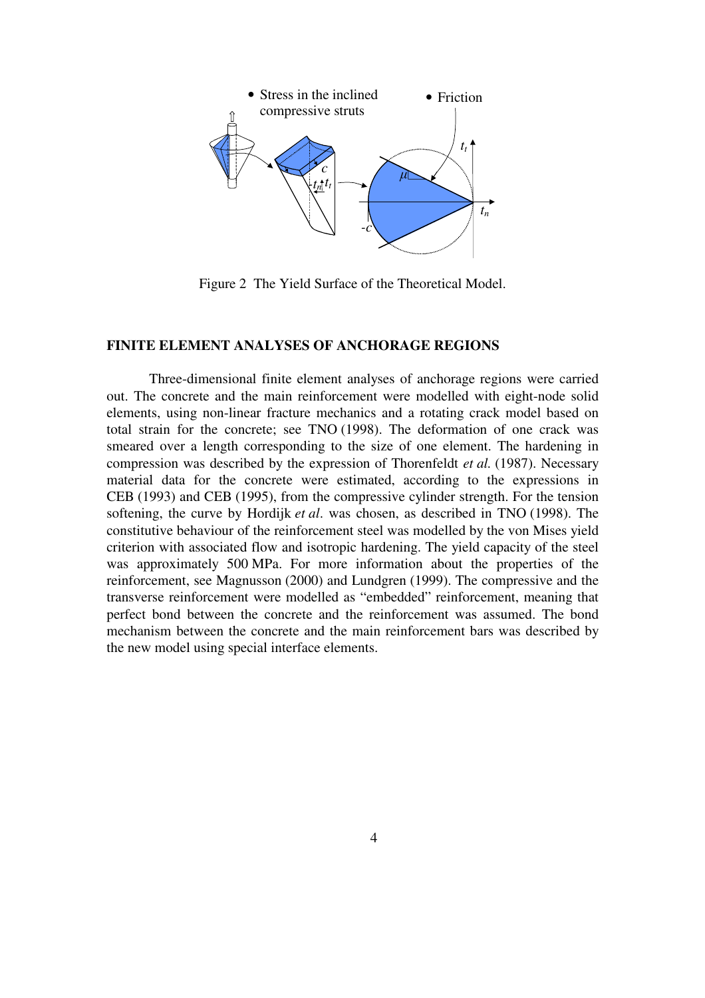

Figure 2 The Yield Surface of the Theoretical Model.

# **FINITE ELEMENT ANALYSES OF ANCHORAGE REGIONS**

Three-dimensional finite element analyses of anchorage regions were carried out. The concrete and the main reinforcement were modelled with eight-node solid elements, using non-linear fracture mechanics and a rotating crack model based on total strain for the concrete; see TNO (1998). The deformation of one crack was smeared over a length corresponding to the size of one element. The hardening in compression was described by the expression of Thorenfeldt *et al.* (1987). Necessary material data for the concrete were estimated, according to the expressions in CEB (1993) and CEB (1995), from the compressive cylinder strength. For the tension softening, the curve by Hordijk *et al*. was chosen, as described in TNO (1998). The constitutive behaviour of the reinforcement steel was modelled by the von Mises yield criterion with associated flow and isotropic hardening. The yield capacity of the steel was approximately 500 MPa. For more information about the properties of the reinforcement, see Magnusson (2000) and Lundgren (1999). The compressive and the transverse reinforcement were modelled as "embedded" reinforcement, meaning that perfect bond between the concrete and the reinforcement was assumed. The bond mechanism between the concrete and the main reinforcement bars was described by the new model using special interface elements.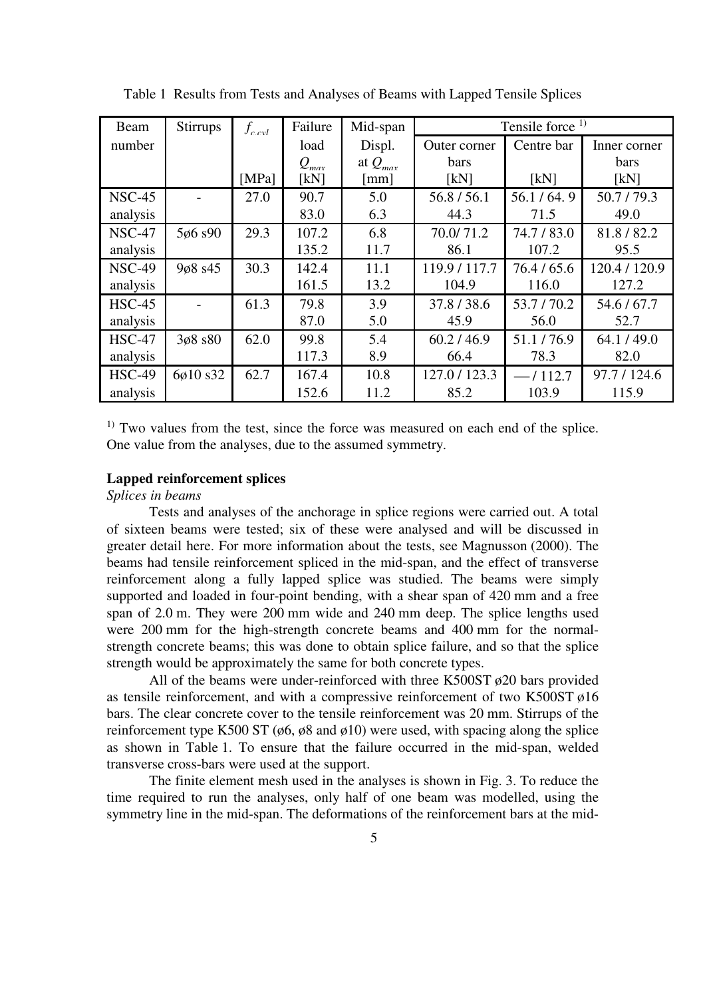| Beam          | Stirrups | $f_{c}$ <sub>c</sub> $l$ | Failure                                | Mid-span                                    | Tensile force $1$ |            |               |
|---------------|----------|--------------------------|----------------------------------------|---------------------------------------------|-------------------|------------|---------------|
| number        |          |                          | load                                   | Displ.                                      | Outer corner      | Centre bar | Inner corner  |
|               |          |                          | $Q_{\scriptscriptstyle m\alpha\gamma}$ | at $Q_{\scriptscriptstyle m \alpha \alpha}$ | <b>bars</b>       |            | <b>bars</b>   |
|               |          | [MPa]                    | [kN]                                   | $\lceil$ mm $\rceil$                        | [kN]              | [kN]       | [kN]          |
| <b>NSC-45</b> |          | 27.0                     | 90.7                                   | 5.0                                         | 56.8 / 56.1       | 56.1/64.9  | 50.7/79.3     |
| analysis      |          |                          | 83.0                                   | 6.3                                         | 44.3              | 71.5       | 49.0          |
| <b>NSC-47</b> | 5ø6 s90  | 29.3                     | 107.2                                  | 6.8                                         | 70.0/71.2         | 74.7/83.0  | 81.8/82.2     |
| analysis      |          |                          | 135.2                                  | 11.7                                        | 86.1              | 107.2      | 95.5          |
| <b>NSC-49</b> | 9ø8 s45  | 30.3                     | 142.4                                  | 11.1                                        | 119.9 / 117.7     | 76.4/65.6  | 120.4 / 120.9 |
| analysis      |          |                          | 161.5                                  | 13.2                                        | 104.9             | 116.0      | 127.2         |
| $HSC-45$      |          | 61.3                     | 79.8                                   | 3.9                                         | 37.8/38.6         | 53.7/70.2  | 54.6 / 67.7   |
| analysis      |          |                          | 87.0                                   | 5.0                                         | 45.9              | 56.0       | 52.7          |
| $HSC-47$      | 3ø8 s80  | 62.0                     | 99.8                                   | 5.4                                         | 60.2 / 46.9       | 51.1/76.9  | 64.1/49.0     |
| analysis      |          |                          | 117.3                                  | 8.9                                         | 66.4              | 78.3       | 82.0          |
| <b>HSC-49</b> | 6ø10 s32 | 62.7                     | 167.4                                  | 10.8                                        | 127.0 / 123.3     | $-1112.7$  | 97.7 / 124.6  |
| analysis      |          |                          | 152.6                                  | 11.2                                        | 85.2              | 103.9      | 115.9         |

Table 1 Results from Tests and Analyses of Beams with Lapped Tensile Splices

<sup>1)</sup> Two values from the test, since the force was measured on each end of the splice. One value from the analyses, due to the assumed symmetry.

## **Lapped reinforcement splices**

*Splices in beams* 

Tests and analyses of the anchorage in splice regions were carried out. A total of sixteen beams were tested; six of these were analysed and will be discussed in greater detail here. For more information about the tests, see Magnusson (2000). The beams had tensile reinforcement spliced in the mid-span, and the effect of transverse reinforcement along a fully lapped splice was studied. The beams were simply supported and loaded in four-point bending, with a shear span of 420 mm and a free span of 2.0 m. They were 200 mm wide and 240 mm deep. The splice lengths used were 200 mm for the high-strength concrete beams and 400 mm for the normalstrength concrete beams; this was done to obtain splice failure, and so that the splice strength would be approximately the same for both concrete types.

All of the beams were under-reinforced with three K500ST  $\phi$ 20 bars provided as tensile reinforcement, and with a compressive reinforcement of two K500ST ø16 bars. The clear concrete cover to the tensile reinforcement was 20 mm. Stirrups of the reinforcement type K500 ST (ø6, ø8 and ø10) were used, with spacing along the splice as shown in Table 1. To ensure that the failure occurred in the mid-span, welded transverse cross-bars were used at the support.

The finite element mesh used in the analyses is shown in Fig. 3. To reduce the time required to run the analyses, only half of one beam was modelled, using the symmetry line in the mid-span. The deformations of the reinforcement bars at the mid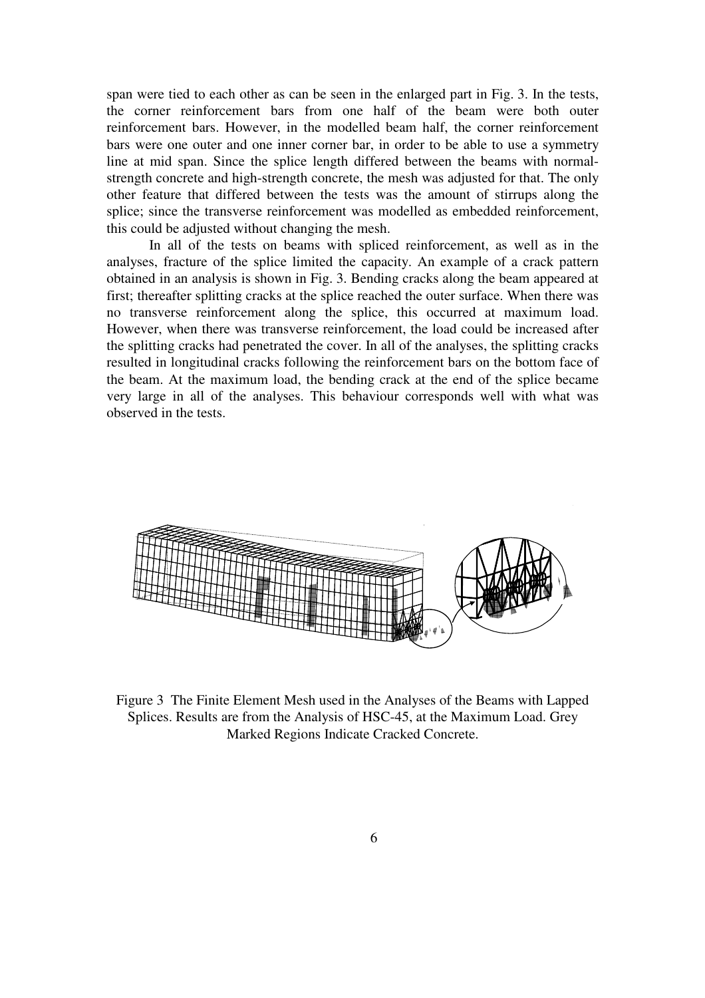span were tied to each other as can be seen in the enlarged part in Fig. 3. In the tests, the corner reinforcement bars from one half of the beam were both outer reinforcement bars. However, in the modelled beam half, the corner reinforcement bars were one outer and one inner corner bar, in order to be able to use a symmetry line at mid span. Since the splice length differed between the beams with normalstrength concrete and high-strength concrete, the mesh was adjusted for that. The only other feature that differed between the tests was the amount of stirrups along the splice; since the transverse reinforcement was modelled as embedded reinforcement, this could be adjusted without changing the mesh.

In all of the tests on beams with spliced reinforcement, as well as in the analyses, fracture of the splice limited the capacity. An example of a crack pattern obtained in an analysis is shown in Fig. 3. Bending cracks along the beam appeared at first; thereafter splitting cracks at the splice reached the outer surface. When there was no transverse reinforcement along the splice, this occurred at maximum load. However, when there was transverse reinforcement, the load could be increased after the splitting cracks had penetrated the cover. In all of the analyses, the splitting cracks resulted in longitudinal cracks following the reinforcement bars on the bottom face of the beam. At the maximum load, the bending crack at the end of the splice became very large in all of the analyses. This behaviour corresponds well with what was observed in the tests.



Figure 3 The Finite Element Mesh used in the Analyses of the Beams with Lapped Splices. Results are from the Analysis of HSC-45, at the Maximum Load. Grey Marked Regions Indicate Cracked Concrete.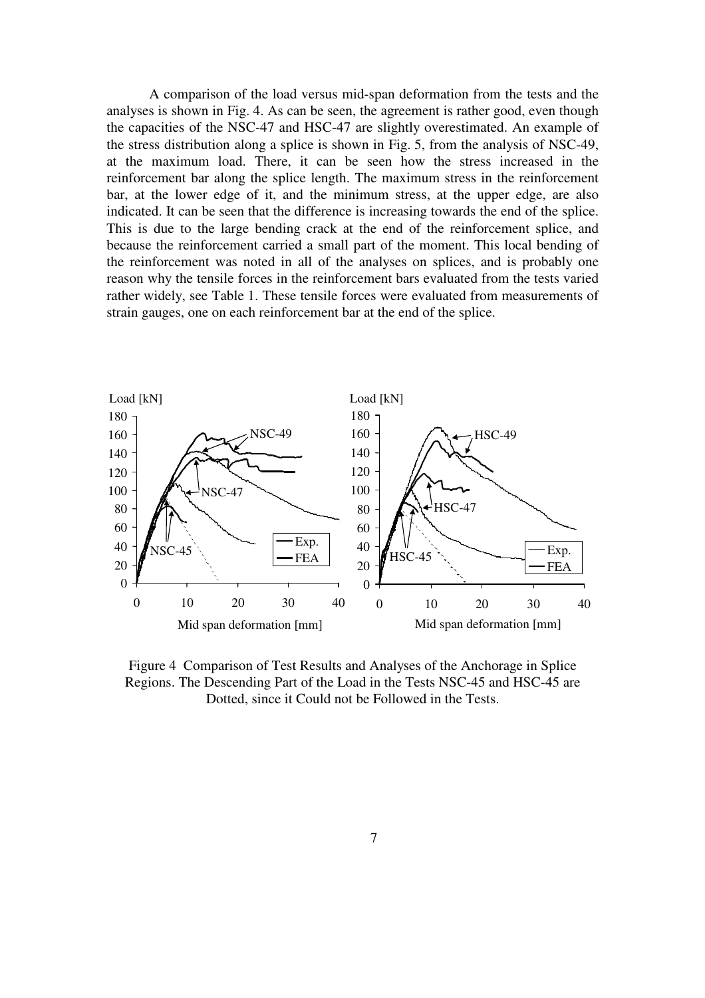A comparison of the load versus mid-span deformation from the tests and the analyses is shown in Fig. 4. As can be seen, the agreement is rather good, even though the capacities of the NSC-47 and HSC-47 are slightly overestimated. An example of the stress distribution along a splice is shown in Fig. 5, from the analysis of NSC-49, at the maximum load. There, it can be seen how the stress increased in the reinforcement bar along the splice length. The maximum stress in the reinforcement bar, at the lower edge of it, and the minimum stress, at the upper edge, are also indicated. It can be seen that the difference is increasing towards the end of the splice. This is due to the large bending crack at the end of the reinforcement splice, and because the reinforcement carried a small part of the moment. This local bending of the reinforcement was noted in all of the analyses on splices, and is probably one reason why the tensile forces in the reinforcement bars evaluated from the tests varied rather widely, see Table 1. These tensile forces were evaluated from measurements of strain gauges, one on each reinforcement bar at the end of the splice.



Figure 4 Comparison of Test Results and Analyses of the Anchorage in Splice Regions. The Descending Part of the Load in the Tests NSC-45 and HSC-45 are Dotted, since it Could not be Followed in the Tests.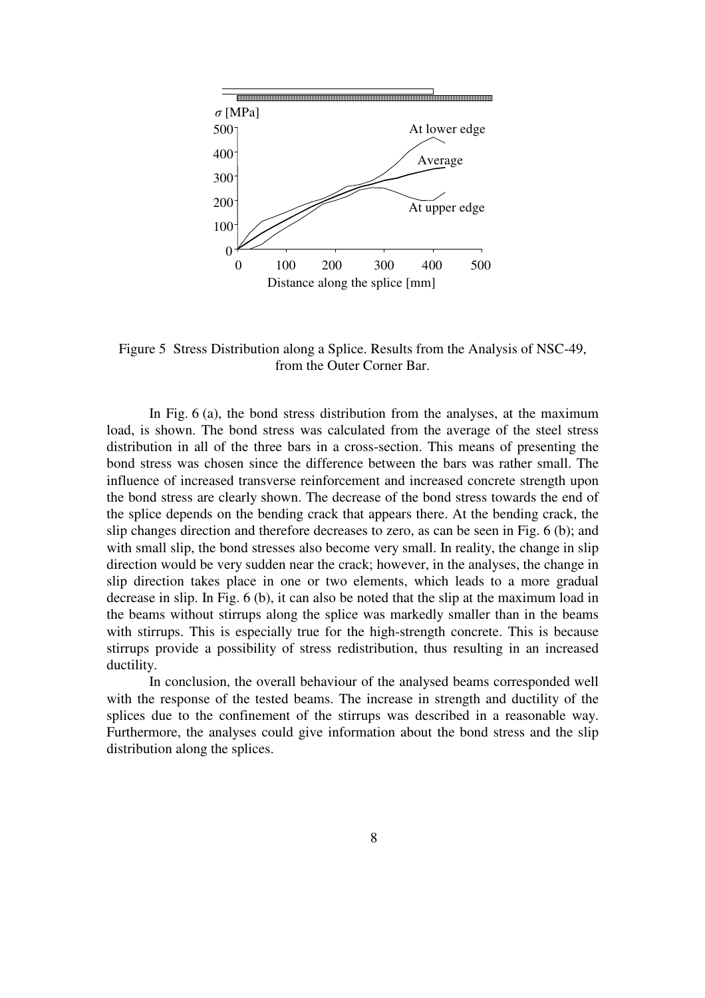

Figure 5 Stress Distribution along a Splice. Results from the Analysis of NSC-49, from the Outer Corner Bar.

In Fig. 6 (a), the bond stress distribution from the analyses, at the maximum load, is shown. The bond stress was calculated from the average of the steel stress distribution in all of the three bars in a cross-section. This means of presenting the bond stress was chosen since the difference between the bars was rather small. The influence of increased transverse reinforcement and increased concrete strength upon the bond stress are clearly shown. The decrease of the bond stress towards the end of the splice depends on the bending crack that appears there. At the bending crack, the slip changes direction and therefore decreases to zero, as can be seen in Fig. 6 (b); and with small slip, the bond stresses also become very small. In reality, the change in slip direction would be very sudden near the crack; however, in the analyses, the change in slip direction takes place in one or two elements, which leads to a more gradual decrease in slip. In Fig. 6 (b), it can also be noted that the slip at the maximum load in the beams without stirrups along the splice was markedly smaller than in the beams with stirrups. This is especially true for the high-strength concrete. This is because stirrups provide a possibility of stress redistribution, thus resulting in an increased ductility.

In conclusion, the overall behaviour of the analysed beams corresponded well with the response of the tested beams. The increase in strength and ductility of the splices due to the confinement of the stirrups was described in a reasonable way. Furthermore, the analyses could give information about the bond stress and the slip distribution along the splices.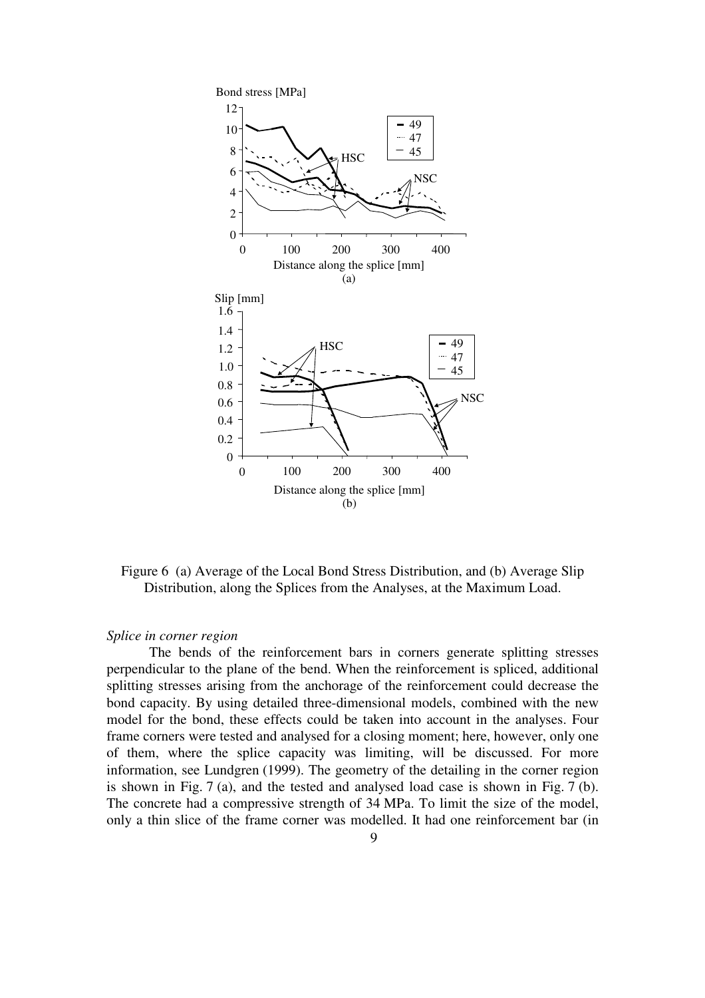

Figure 6 (a) Average of the Local Bond Stress Distribution, and (b) Average Slip Distribution, along the Splices from the Analyses, at the Maximum Load.

#### *Splice in corner region*

The bends of the reinforcement bars in corners generate splitting stresses perpendicular to the plane of the bend. When the reinforcement is spliced, additional splitting stresses arising from the anchorage of the reinforcement could decrease the bond capacity. By using detailed three-dimensional models, combined with the new model for the bond, these effects could be taken into account in the analyses. Four frame corners were tested and analysed for a closing moment; here, however, only one of them, where the splice capacity was limiting, will be discussed. For more information, see Lundgren (1999). The geometry of the detailing in the corner region is shown in Fig. 7 (a), and the tested and analysed load case is shown in Fig. 7 (b). The concrete had a compressive strength of 34 MPa. To limit the size of the model, only a thin slice of the frame corner was modelled. It had one reinforcement bar (in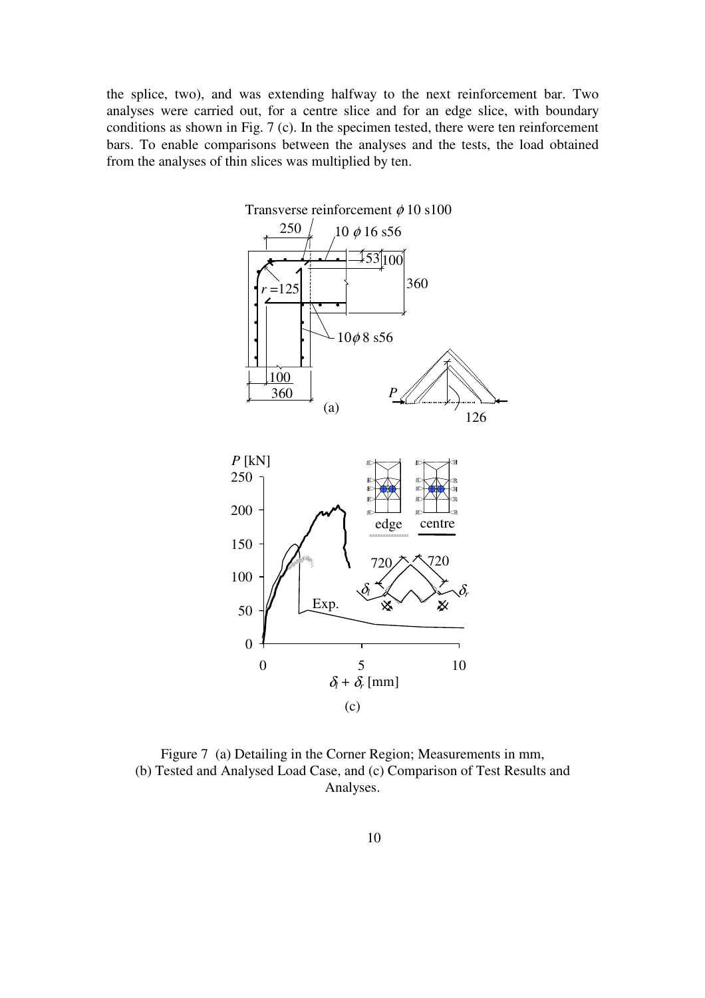the splice, two), and was extending halfway to the next reinforcement bar. Two analyses were carried out, for a centre slice and for an edge slice, with boundary conditions as shown in Fig. 7 (c). In the specimen tested, there were ten reinforcement bars. To enable comparisons between the analyses and the tests, the load obtained from the analyses of thin slices was multiplied by ten.



Figure 7 (a) Detailing in the Corner Region; Measurements in mm, (b) Tested and Analysed Load Case, and (c) Comparison of Test Results and Analyses.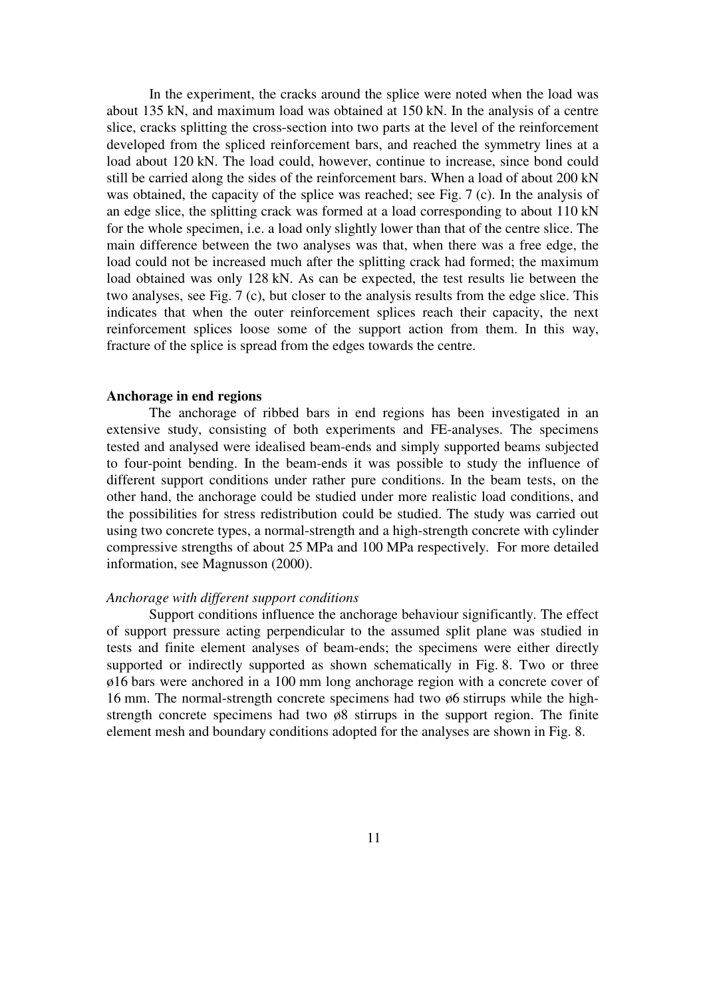In the experiment, the cracks around the splice were noted when the load was about 135 kN, and maximum load was obtained at 150 kN. In the analysis of a centre slice, cracks splitting the cross-section into two parts at the level of the reinforcement developed from the spliced reinforcement bars, and reached the symmetry lines at a load about 120 kN. The load could, however, continue to increase, since bond could still be carried along the sides of the reinforcement bars. When a load of about 200 kN was obtained, the capacity of the splice was reached; see Fig. 7 (c). In the analysis of an edge slice, the splitting crack was formed at a load corresponding to about 110 kN for the whole specimen, i.e. a load only slightly lower than that of the centre slice. The main difference between the two analyses was that, when there was a free edge, the load could not be increased much after the splitting crack had formed; the maximum load obtained was only 128 kN. As can be expected, the test results lie between the two analyses, see Fig. 7 (c), but closer to the analysis results from the edge slice. This indicates that when the outer reinforcement splices reach their capacity, the next reinforcement splices loose some of the support action from them. In this way, fracture of the splice is spread from the edges towards the centre.

#### **Anchorage in end regions**

The anchorage of ribbed bars in end regions has been investigated in an extensive study, consisting of both experiments and FE-analyses. The specimens tested and analysed were idealised beam-ends and simply supported beams subjected to four-point bending. In the beam-ends it was possible to study the influence of different support conditions under rather pure conditions. In the beam tests, on the other hand, the anchorage could be studied under more realistic load conditions, and the possibilities for stress redistribution could be studied. The study was carried out using two concrete types, a normal-strength and a high-strength concrete with cylinder compressive strengths of about 25 MPa and 100 MPa respectively. For more detailed information, see Magnusson (2000).

## *Anchorage with different support conditions*

Support conditions influence the anchorage behaviour significantly. The effect of support pressure acting perpendicular to the assumed split plane was studied in tests and finite element analyses of beam-ends; the specimens were either directly supported or indirectly supported as shown schematically in Fig. 8. Two or three ø16 bars were anchored in a 100 mm long anchorage region with a concrete cover of 16 mm. The normal-strength concrete specimens had two ø6 stirrups while the highstrength concrete specimens had two ø8 stirrups in the support region. The finite element mesh and boundary conditions adopted for the analyses are shown in Fig. 8.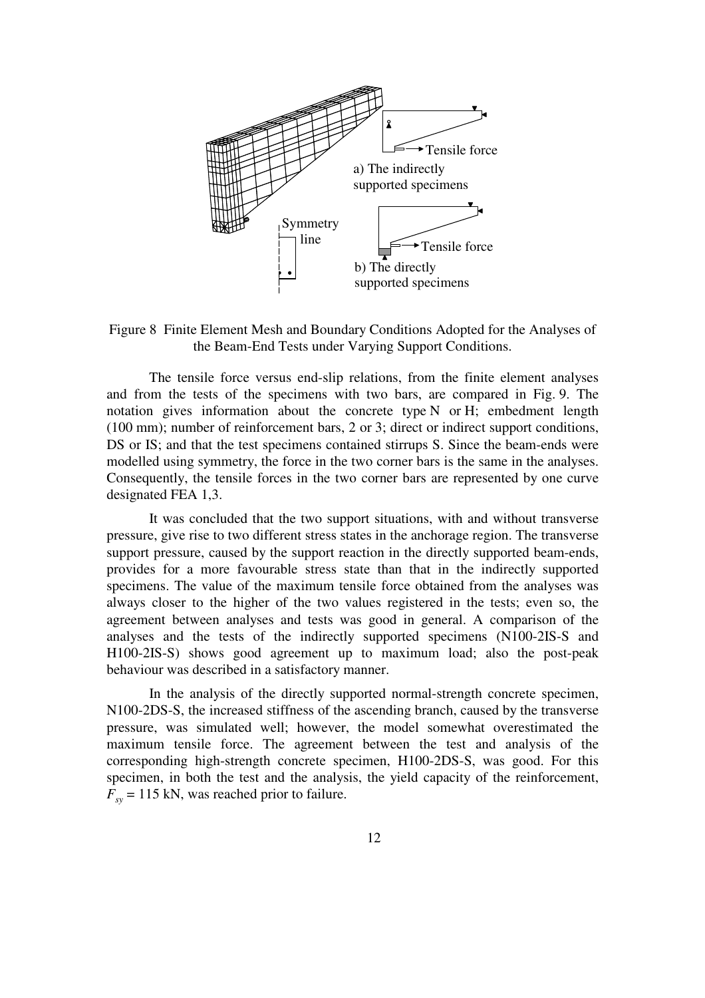

Figure 8 Finite Element Mesh and Boundary Conditions Adopted for the Analyses of the Beam-End Tests under Varying Support Conditions.

The tensile force versus end-slip relations, from the finite element analyses and from the tests of the specimens with two bars, are compared in Fig. 9. The notation gives information about the concrete type N or H; embedment length (100 mm); number of reinforcement bars, 2 or 3; direct or indirect support conditions, DS or IS; and that the test specimens contained stirrups S. Since the beam-ends were modelled using symmetry, the force in the two corner bars is the same in the analyses. Consequently, the tensile forces in the two corner bars are represented by one curve designated FEA 1,3.

It was concluded that the two support situations, with and without transverse pressure, give rise to two different stress states in the anchorage region. The transverse support pressure, caused by the support reaction in the directly supported beam-ends, provides for a more favourable stress state than that in the indirectly supported specimens. The value of the maximum tensile force obtained from the analyses was always closer to the higher of the two values registered in the tests; even so, the agreement between analyses and tests was good in general. A comparison of the analyses and the tests of the indirectly supported specimens (N100-2IS-S and H100-2IS-S) shows good agreement up to maximum load; also the post-peak behaviour was described in a satisfactory manner.

In the analysis of the directly supported normal-strength concrete specimen, N100-2DS-S, the increased stiffness of the ascending branch, caused by the transverse pressure, was simulated well; however, the model somewhat overestimated the maximum tensile force. The agreement between the test and analysis of the corresponding high-strength concrete specimen, H100-2DS-S, was good. For this specimen, in both the test and the analysis, the yield capacity of the reinforcement,  $F<sub>xy</sub> = 115$  kN, was reached prior to failure.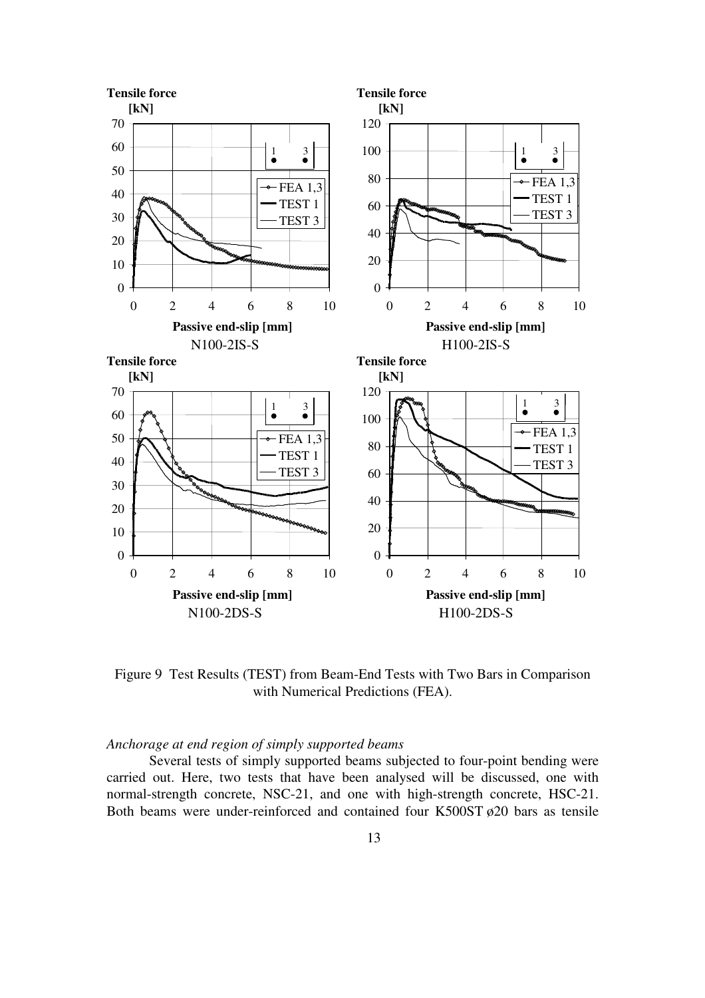

Figure 9 Test Results (TEST) from Beam-End Tests with Two Bars in Comparison with Numerical Predictions (FEA).

# *Anchorage at end region of simply supported beams*

Several tests of simply supported beams subjected to four-point bending were carried out. Here, two tests that have been analysed will be discussed, one with normal-strength concrete, NSC-21, and one with high-strength concrete, HSC-21. Both beams were under-reinforced and contained four K500ST  $\phi$ 20 bars as tensile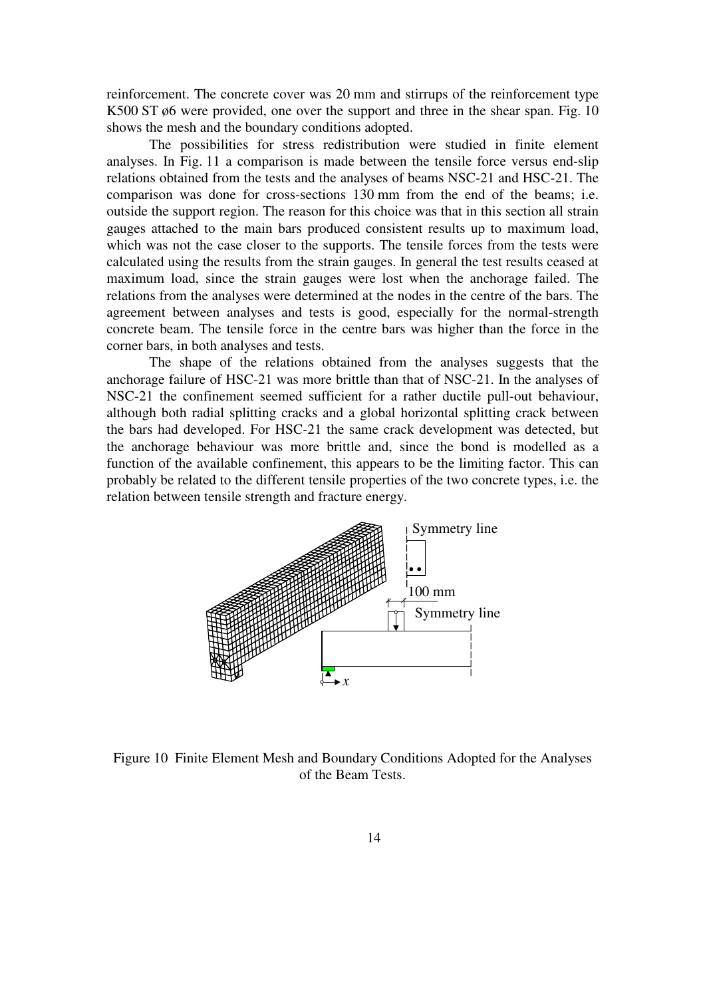reinforcement. The concrete cover was 20 mm and stirrups of the reinforcement type K500 ST ø6 were provided, one over the support and three in the shear span. Fig. 10 shows the mesh and the boundary conditions adopted.

The possibilities for stress redistribution were studied in finite element analyses. In Fig. 11 a comparison is made between the tensile force versus end-slip relations obtained from the tests and the analyses of beams NSC-21 and HSC-21. The comparison was done for cross-sections 130 mm from the end of the beams; i.e. outside the support region. The reason for this choice was that in this section all strain gauges attached to the main bars produced consistent results up to maximum load, which was not the case closer to the supports. The tensile forces from the tests were calculated using the results from the strain gauges. In general the test results ceased at maximum load, since the strain gauges were lost when the anchorage failed. The relations from the analyses were determined at the nodes in the centre of the bars. The agreement between analyses and tests is good, especially for the normal-strength concrete beam. The tensile force in the centre bars was higher than the force in the corner bars, in both analyses and tests.

The shape of the relations obtained from the analyses suggests that the anchorage failure of HSC-21 was more brittle than that of NSC-21. In the analyses of NSC-21 the confinement seemed sufficient for a rather ductile pull-out behaviour, although both radial splitting cracks and a global horizontal splitting crack between the bars had developed. For HSC-21 the same crack development was detected, but the anchorage behaviour was more brittle and, since the bond is modelled as a function of the available confinement, this appears to be the limiting factor. This can probably be related to the different tensile properties of the two concrete types, i.e. the relation between tensile strength and fracture energy.



Figure 10 Finite Element Mesh and Boundary Conditions Adopted for the Analyses of the Beam Tests.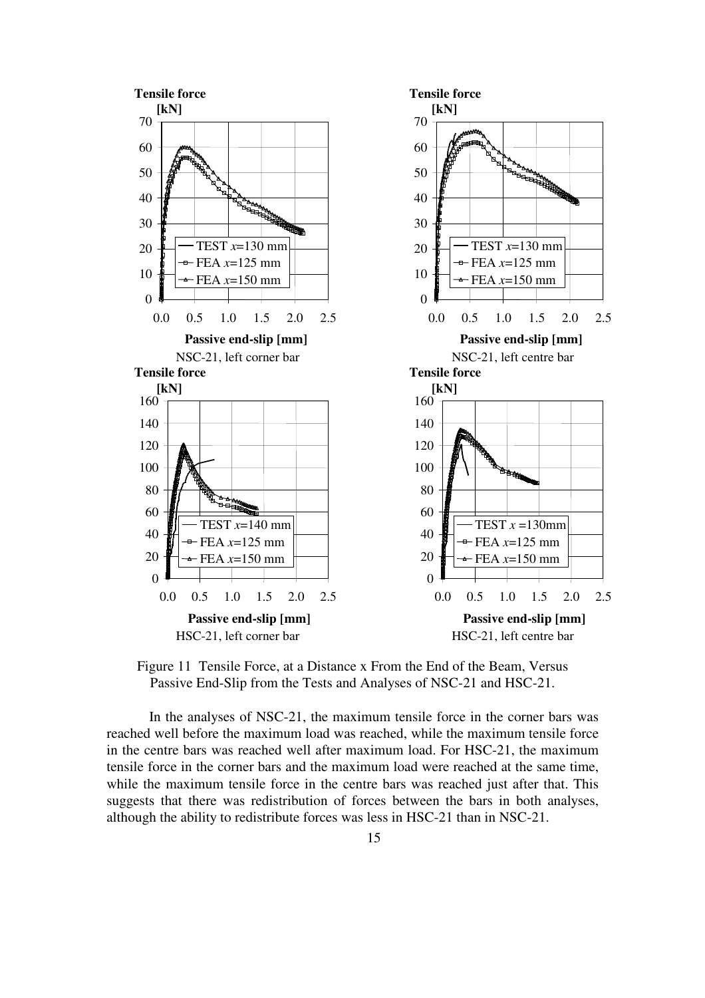



In the analyses of NSC-21, the maximum tensile force in the corner bars was reached well before the maximum load was reached, while the maximum tensile force in the centre bars was reached well after maximum load. For HSC-21, the maximum tensile force in the corner bars and the maximum load were reached at the same time, while the maximum tensile force in the centre bars was reached just after that. This suggests that there was redistribution of forces between the bars in both analyses, although the ability to redistribute forces was less in HSC-21 than in NSC-21.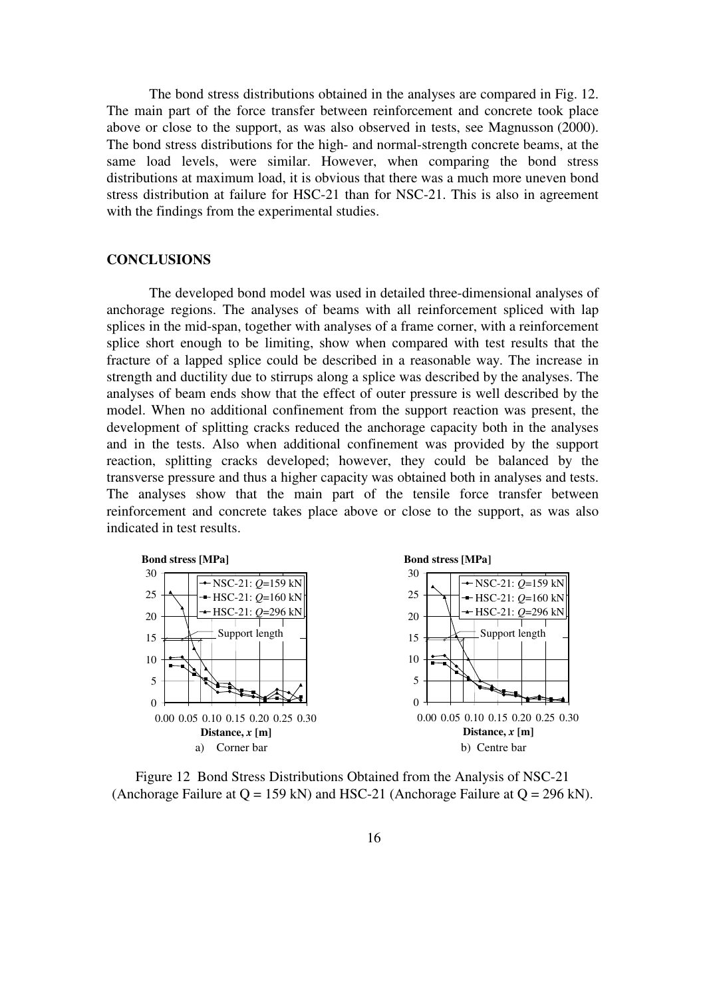The bond stress distributions obtained in the analyses are compared in Fig. 12. The main part of the force transfer between reinforcement and concrete took place above or close to the support, as was also observed in tests, see Magnusson (2000). The bond stress distributions for the high- and normal-strength concrete beams, at the same load levels, were similar. However, when comparing the bond stress distributions at maximum load, it is obvious that there was a much more uneven bond stress distribution at failure for HSC-21 than for NSC-21. This is also in agreement with the findings from the experimental studies.

#### **CONCLUSIONS**

The developed bond model was used in detailed three-dimensional analyses of anchorage regions. The analyses of beams with all reinforcement spliced with lap splices in the mid-span, together with analyses of a frame corner, with a reinforcement splice short enough to be limiting, show when compared with test results that the fracture of a lapped splice could be described in a reasonable way. The increase in strength and ductility due to stirrups along a splice was described by the analyses. The analyses of beam ends show that the effect of outer pressure is well described by the model. When no additional confinement from the support reaction was present, the development of splitting cracks reduced the anchorage capacity both in the analyses and in the tests. Also when additional confinement was provided by the support reaction, splitting cracks developed; however, they could be balanced by the transverse pressure and thus a higher capacity was obtained both in analyses and tests. The analyses show that the main part of the tensile force transfer between reinforcement and concrete takes place above or close to the support, as was also indicated in test results.



Figure 12 Bond Stress Distributions Obtained from the Analysis of NSC-21 (Anchorage Failure at  $Q = 159$  kN) and HSC-21 (Anchorage Failure at  $Q = 296$  kN).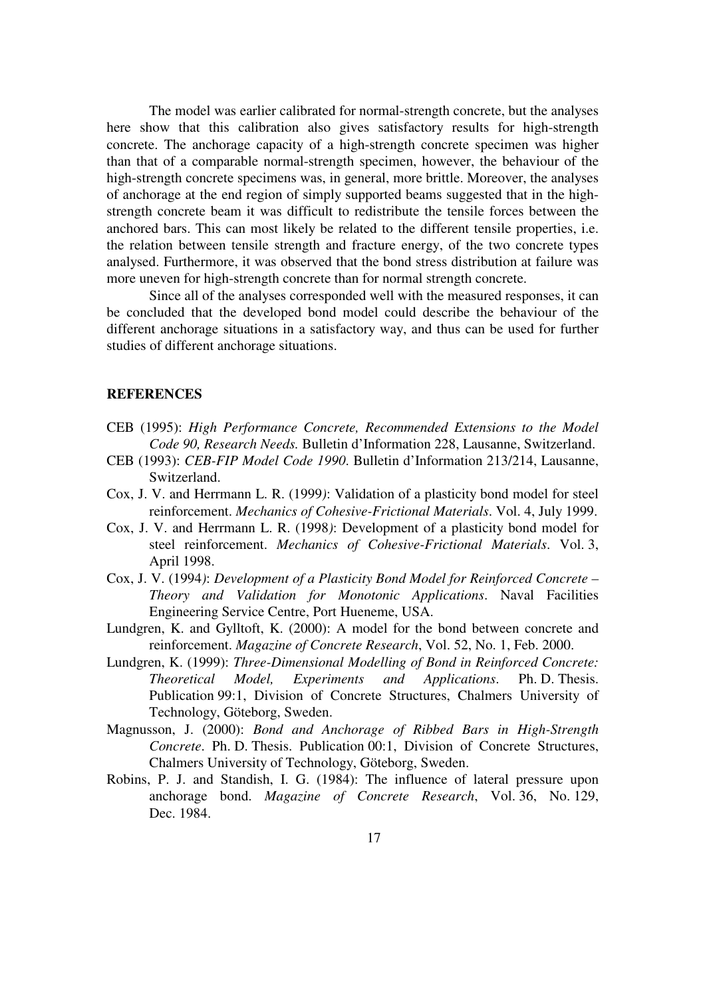The model was earlier calibrated for normal-strength concrete, but the analyses here show that this calibration also gives satisfactory results for high-strength concrete. The anchorage capacity of a high-strength concrete specimen was higher than that of a comparable normal-strength specimen, however, the behaviour of the high-strength concrete specimens was, in general, more brittle. Moreover, the analyses of anchorage at the end region of simply supported beams suggested that in the highstrength concrete beam it was difficult to redistribute the tensile forces between the anchored bars. This can most likely be related to the different tensile properties, i.e. the relation between tensile strength and fracture energy, of the two concrete types analysed. Furthermore, it was observed that the bond stress distribution at failure was more uneven for high-strength concrete than for normal strength concrete.

Since all of the analyses corresponded well with the measured responses, it can be concluded that the developed bond model could describe the behaviour of the different anchorage situations in a satisfactory way, and thus can be used for further studies of different anchorage situations.

#### **REFERENCES**

- CEB (1995): *High Performance Concrete, Recommended Extensions to the Model Code 90, Research Needs.* Bulletin d'Information 228, Lausanne, Switzerland.
- CEB (1993): *CEB-FIP Model Code 1990*. Bulletin d'Information 213/214, Lausanne, Switzerland.
- Cox, J. V. and Herrmann L. R. (1999*)*: Validation of a plasticity bond model for steel reinforcement. *Mechanics of Cohesive-Frictional Materials*. Vol. 4, July 1999.
- Cox, J. V. and Herrmann L. R. (1998*)*: Development of a plasticity bond model for steel reinforcement. *Mechanics of Cohesive-Frictional Materials*. Vol. 3, April 1998.
- Cox, J. V. (1994*)*: *Development of a Plasticity Bond Model for Reinforced Concrete Theory and Validation for Monotonic Applications*. Naval Facilities Engineering Service Centre, Port Hueneme, USA.
- Lundgren, K. and Gylltoft, K. (2000): A model for the bond between concrete and reinforcement. *Magazine of Concrete Research*, Vol. 52, No. 1, Feb. 2000.
- Lundgren, K. (1999): *Three-Dimensional Modelling of Bond in Reinforced Concrete: Theoretical Model, Experiments and Applications*. Ph. D. Thesis. Publication 99:1, Division of Concrete Structures, Chalmers University of Technology, Göteborg, Sweden.
- Magnusson, J. (2000): *Bond and Anchorage of Ribbed Bars in High-Strength Concrete*. Ph. D. Thesis. Publication 00:1, Division of Concrete Structures, Chalmers University of Technology, Göteborg, Sweden.
- Robins, P. J. and Standish, I. G. (1984): The influence of lateral pressure upon anchorage bond. *Magazine of Concrete Research*, Vol. 36, No. 129, Dec. 1984.